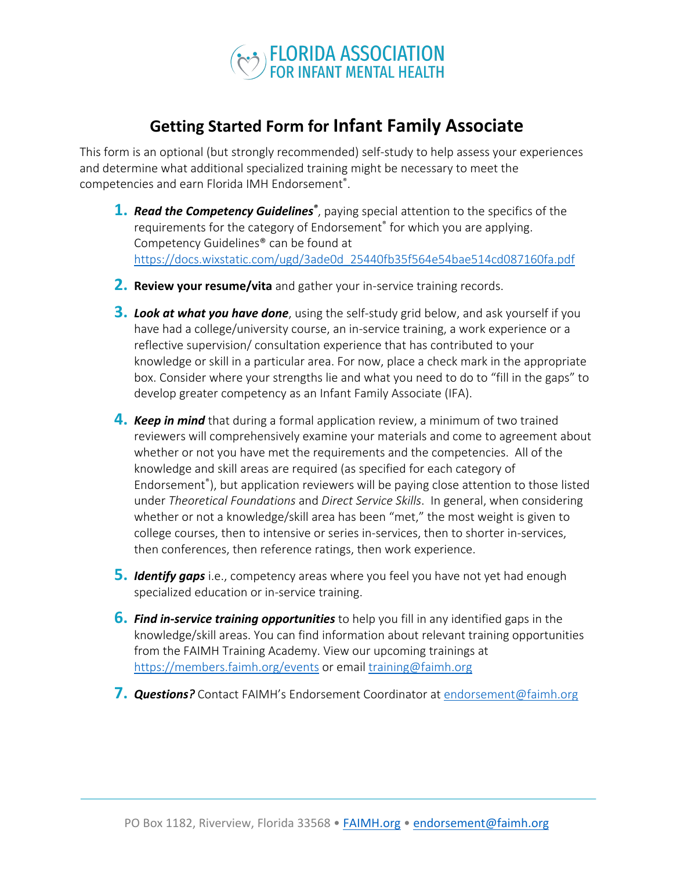

## **Getting Started Form for Infant Family Associate**

This form is an optional (but strongly recommended) self-study to help assess your experiences and determine what additional specialized training might be necessary to meet the competencies and earn Florida IMH Endorsement® .

- 1. Read the Competency Guidelines<sup>®</sup>, paying special attention to the specifics of the requirements for the category of Endorsement® for which you are applying. Competency Guidelines® can be found at https://docs.wixstatic.com/ugd/3ade0d\_25440fb35f564e54bae514cd087160fa.pdf
- **2. Review your resume/vita** and gather your in-service training records.
- **3.** *Look at what you have done*, using the self-study grid below, and ask yourself if you have had a college/university course, an in-service training, a work experience or a reflective supervision/ consultation experience that has contributed to your knowledge or skill in a particular area. For now, place a check mark in the appropriate box. Consider where your strengths lie and what you need to do to "fill in the gaps" to develop greater competency as an Infant Family Associate (IFA).
- **4.** *Keep in mind* that during a formal application review, a minimum of two trained reviewers will comprehensively examine your materials and come to agreement about whether or not you have met the requirements and the competencies. All of the knowledge and skill areas are required (as specified for each category of Endorsement® ), but application reviewers will be paying close attention to those listed under *Theoretical Foundations* and *Direct Service Skills*. In general, when considering whether or not a knowledge/skill area has been "met," the most weight is given to college courses, then to intensive or series in-services, then to shorter in-services, then conferences, then reference ratings, then work experience.
- **5.** *Identify gaps* i.e., competency areas where you feel you have not yet had enough specialized education or in-service training.
- **6.** *Find in-service training opportunities* to help you fill in any identified gaps in the knowledge/skill areas. You can find information about relevant training opportunities from the FAIMH Training Academy. View our upcoming trainings at https://members.faimh.org/events or email training@faimh.org
- **7.** *Questions?* Contact FAIMH's Endorsement Coordinator atendorsement@faimh.org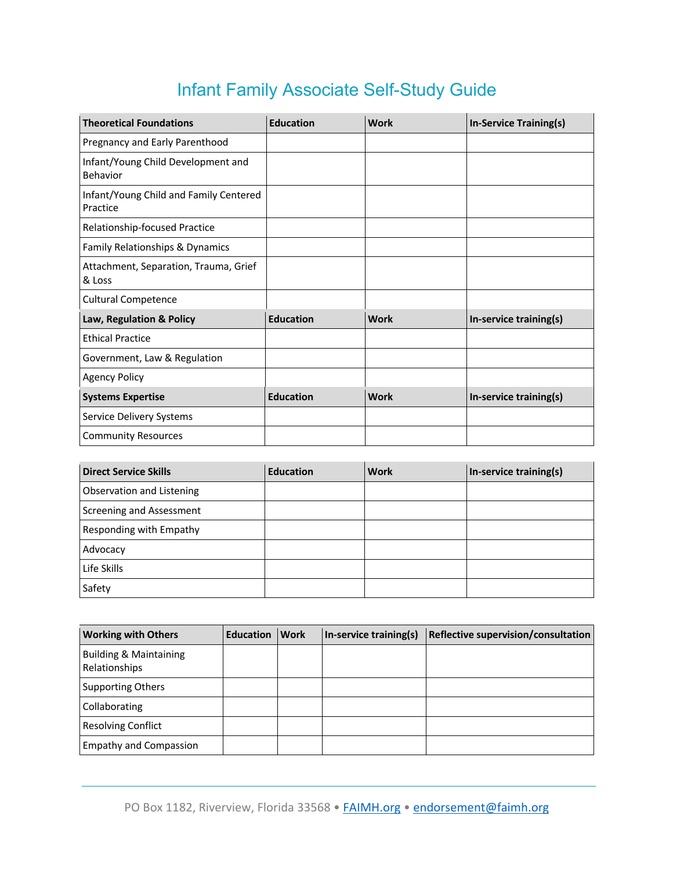## Infant Family Associate Self-Study Guide

| <b>Theoretical Foundations</b>                     | <b>Education</b> | <b>Work</b> | In-Service Training(s) |
|----------------------------------------------------|------------------|-------------|------------------------|
| Pregnancy and Early Parenthood                     |                  |             |                        |
| Infant/Young Child Development and<br>Behavior     |                  |             |                        |
| Infant/Young Child and Family Centered<br>Practice |                  |             |                        |
| Relationship-focused Practice                      |                  |             |                        |
| Family Relationships & Dynamics                    |                  |             |                        |
| Attachment, Separation, Trauma, Grief<br>& Loss    |                  |             |                        |
| <b>Cultural Competence</b>                         |                  |             |                        |
| Law, Regulation & Policy                           | <b>Education</b> | <b>Work</b> | In-service training(s) |
| <b>Ethical Practice</b>                            |                  |             |                        |
| Government, Law & Regulation                       |                  |             |                        |
| <b>Agency Policy</b>                               |                  |             |                        |
| <b>Systems Expertise</b>                           | <b>Education</b> | <b>Work</b> | In-service training(s) |
| Service Delivery Systems                           |                  |             |                        |
| <b>Community Resources</b>                         |                  |             |                        |

| <b>Direct Service Skills</b> | <b>Education</b> | <b>Work</b> | In-service training(s) |
|------------------------------|------------------|-------------|------------------------|
| Observation and Listening    |                  |             |                        |
| Screening and Assessment     |                  |             |                        |
| Responding with Empathy      |                  |             |                        |
| Advocacy                     |                  |             |                        |
| Life Skills                  |                  |             |                        |
| Safety                       |                  |             |                        |

| <b>Working with Others</b>                         | <b>Education</b> | <b>Work</b> | In-service training(s) | Reflective supervision/consultation |
|----------------------------------------------------|------------------|-------------|------------------------|-------------------------------------|
| <b>Building &amp; Maintaining</b><br>Relationships |                  |             |                        |                                     |
| <b>Supporting Others</b>                           |                  |             |                        |                                     |
| Collaborating                                      |                  |             |                        |                                     |
| <b>Resolving Conflict</b>                          |                  |             |                        |                                     |
| <b>Empathy and Compassion</b>                      |                  |             |                        |                                     |